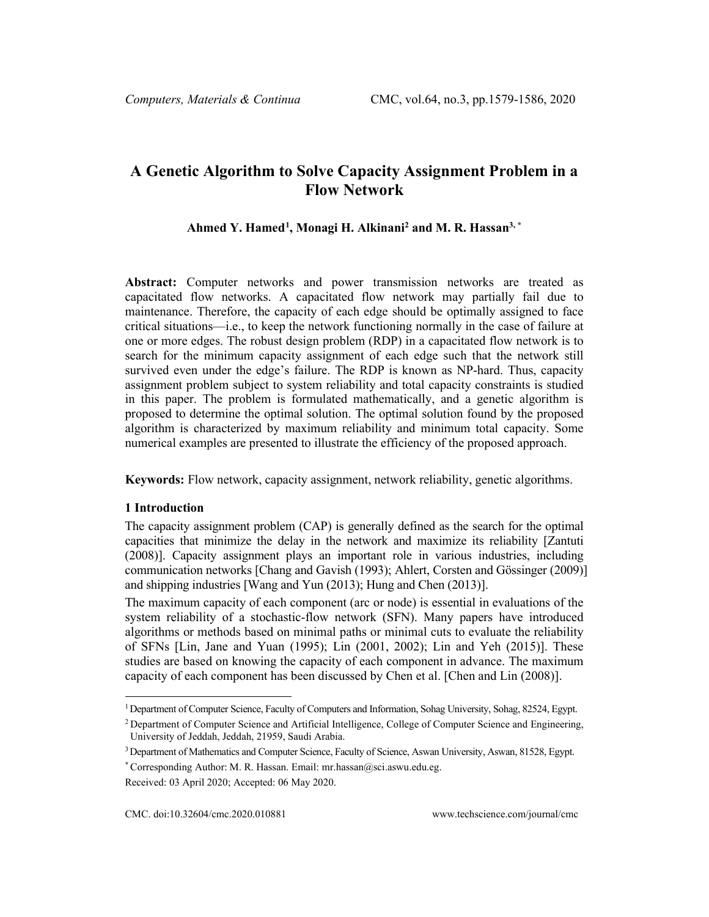# **A Genetic Algorithm to Solve Capacity Assignment Problem in a Flow Network**

## **Ahmed Y. Hamed[1](#page-0-0) , Monagi H. Alkinani2 and M. R. Hassan3, \***

**Abstract:** Computer networks and power transmission networks are treated as capacitated flow networks. A capacitated flow network may partially fail due to maintenance. Therefore, the capacity of each edge should be optimally assigned to face critical situations—i.e., to keep the network functioning normally in the case of failure at one or more edges. The robust design problem (RDP) in a capacitated flow network is to search for the minimum capacity assignment of each edge such that the network still survived even under the edge's failure. The RDP is known as NP-hard. Thus, capacity assignment problem subject to system reliability and total capacity constraints is studied in this paper. The problem is formulated mathematically, and a genetic algorithm is proposed to determine the optimal solution. The optimal solution found by the proposed algorithm is characterized by maximum reliability and minimum total capacity. Some numerical examples are presented to illustrate the efficiency of the proposed approach.

**Keywords:** Flow network, capacity assignment, network reliability, genetic algorithms.

#### **1 Introduction**

The capacity assignment problem (CAP) is generally defined as the search for the optimal capacities that minimize the delay in the network and maximize its reliability [Zantuti (2008)]. Capacity assignment plays an important role in various industries, including communication networks [Chang and Gavish (1993); Ahlert, Corsten and Gössinger (2009)] and shipping industries [Wang and Yun (2013); Hung and Chen (2013)].

The maximum capacity of each component (arc or node) is essential in evaluations of the system reliability of a stochastic-flow network (SFN). Many papers have introduced algorithms or methods based on minimal paths or minimal cuts to evaluate the reliability of SFNs [Lin, Jane and Yuan (1995); Lin (2001, 2002); Lin and Yeh (2015)]. These studies are based on knowing the capacity of each component in advance. The maximum capacity of each component has been discussed by Chen et al. [Chen and Lin (2008)].

<span id="page-0-0"></span><sup>1</sup>Department of Computer Science, Faculty of Computers and Information, Sohag University, Sohag, 82524, Egypt.

<sup>&</sup>lt;sup>2</sup> Department of Computer Science and Artificial Intelligence, College of Computer Science and Engineering, University of Jeddah, Jeddah, 21959, Saudi Arabia.

<sup>3</sup>Department of Mathematics and Computer Science, Faculty of Science, Aswan University, Aswan, 81528, Egypt.

<sup>\*</sup> Corresponding Author: M. R. Hassan. Email: mr.hassan@sci.aswu.edu.eg.

Received: 03 April 2020; Accepted: 06 May 2020.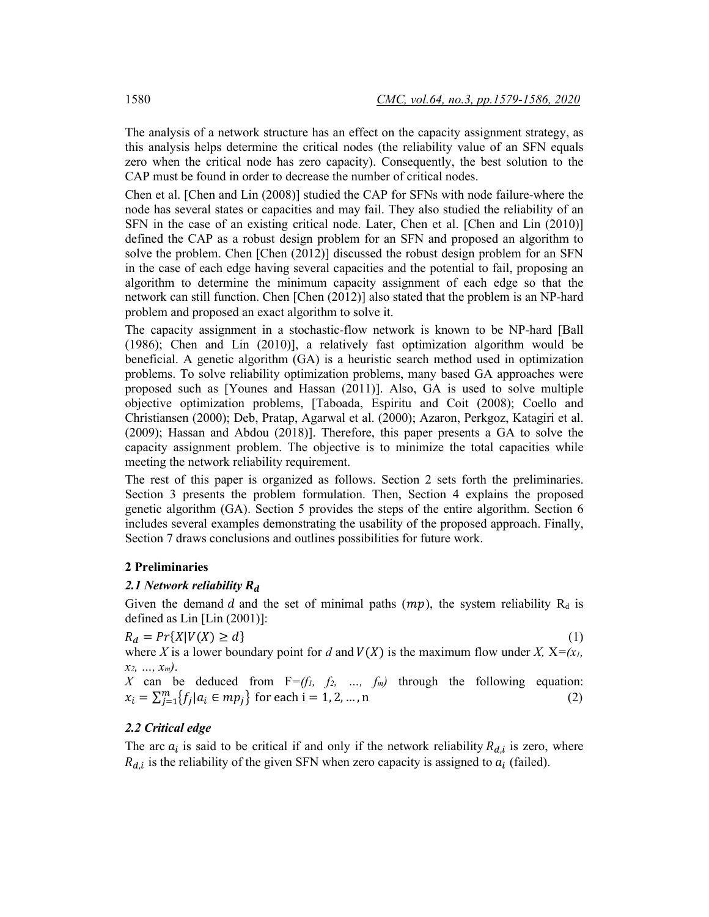The analysis of a network structure has an effect on the capacity assignment strategy, as this analysis helps determine the critical nodes (the reliability value of an SFN equals zero when the critical node has zero capacity). Consequently, the best solution to the CAP must be found in order to decrease the number of critical nodes.

Chen et al. [Chen and Lin (2008)] studied the CAP for SFNs with node failure-where the node has several states or capacities and may fail. They also studied the reliability of an SFN in the case of an existing critical node. Later, Chen et al. [Chen and Lin (2010)] defined the CAP as a robust design problem for an SFN and proposed an algorithm to solve the problem. Chen [Chen (2012)] discussed the robust design problem for an SFN in the case of each edge having several capacities and the potential to fail, proposing an algorithm to determine the minimum capacity assignment of each edge so that the network can still function. Chen [Chen (2012)] also stated that the problem is an NP-hard problem and proposed an exact algorithm to solve it.

The capacity assignment in a stochastic-flow network is known to be NP-hard [Ball (1986); Chen and Lin (2010)], a relatively fast optimization algorithm would be beneficial. A genetic algorithm (GA) is a heuristic search method used in optimization problems. To solve reliability optimization problems, many based GA approaches were proposed such as [Younes and Hassan (2011)]. Also, GA is used to solve multiple objective optimization problems, [Taboada, Espiritu and Coit (2008); Coello and Christiansen (2000); Deb, Pratap, Agarwal et al. (2000); Azaron, Perkgoz, Katagiri et al. (2009); Hassan and Abdou (2018)]. Therefore, this paper presents a GA to solve the capacity assignment problem. The objective is to minimize the total capacities while meeting the network reliability requirement.

The rest of this paper is organized as follows. Section 2 sets forth the preliminaries. Section 3 presents the problem formulation. Then, Section 4 explains the proposed genetic algorithm (GA). Section 5 provides the steps of the entire algorithm. Section 6 includes several examples demonstrating the usability of the proposed approach. Finally, Section 7 draws conclusions and outlines possibilities for future work.

# **2 Preliminaries**

#### *2.1 Network reliability*

Given the demand d and the set of minimal paths  $(mp)$ , the system reliability R<sub>d</sub> is defined as Lin [Lin (2001)]:

$$
R_d = Pr\{X|V(X) \ge d\} \tag{1}
$$

where *X* is a lower boundary point for *d* and  $V(X)$  is the maximum flow under *X*,  $X=(x_1, x_2, ..., x_n)$ *x2, …, xm)*.

*X* can be deduced from  $F=(f_1, f_2, ..., f_m)$  through the following equation:  $x_i = \sum_{j=1}^{m} \{f_j | a_i \in mp_j\}$  for each i = 1, 2, ..., n (2)

# *2.2 Critical edge*

The arc  $a_i$  is said to be critical if and only if the network reliability  $R_{d,i}$  is zero, where  $R_{d,i}$  is the reliability of the given SFN when zero capacity is assigned to  $a_i$  (failed).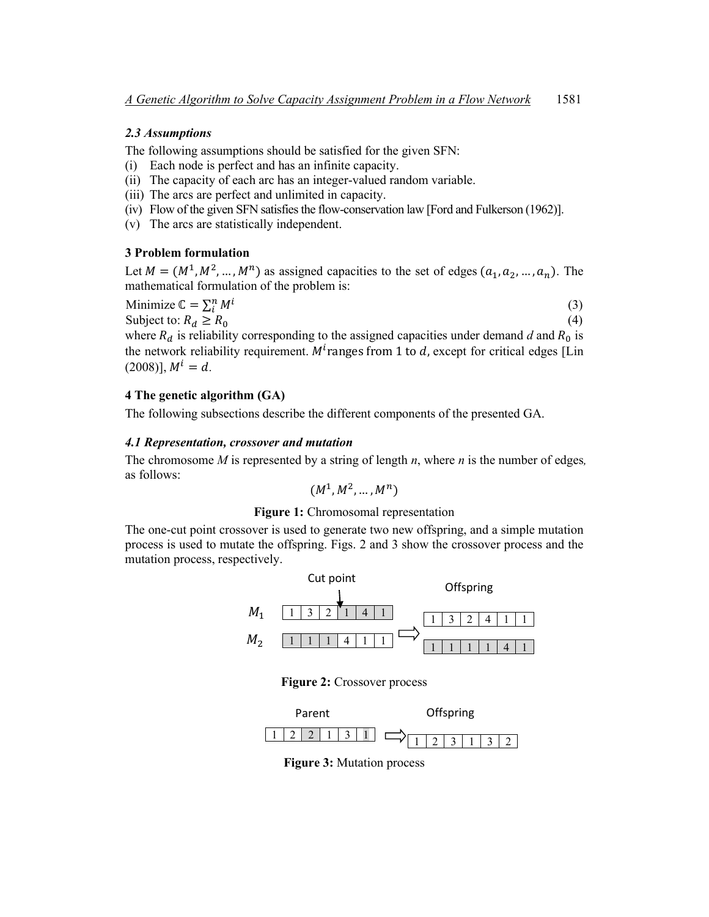### *2.3 Assumptions*

The following assumptions should be satisfied for the given SFN:

- (i) Each node is perfect and has an infinite capacity.
- (ii) The capacity of each arc has an integer-valued random variable.
- (iii) The arcs are perfect and unlimited in capacity.
- (iv) Flow of the given SFN satisfies the flow-conservation law [Ford and Fulkerson (1962)].
- (v) The arcs are statistically independent.

#### **3 Problem formulation**

Let  $M = (M^1, M^2, \dots, M^n)$  as assigned capacities to the set of edges  $(a_1, a_2, \dots, a_n)$ . The mathematical formulation of the problem is:

$$
\text{Minimize } \mathbb{C} = \sum_{i}^{n} M^{i}
$$
\n
$$
\text{Subject to: } R_{d} \ge R_{0}
$$
\n
$$
\tag{3}
$$
\n
$$
\tag{4}
$$

where  $R_d$  is reliability corresponding to the assigned capacities under demand *d* and  $R_0$  is the network reliability requirement.  $M<sup>t</sup>$  ranges from 1 to  $d$ , except for critical edges [Lin  $(2008)$ ],  $M^i = d$ .

# **4 The genetic algorithm (GA)**

The following subsections describe the different components of the presented GA.

#### *4.1 Representation, crossover and mutation*

The chromosome *M* is represented by a string of length *n*, where *n* is the number of edges*,*  as follows:

$$
(M^1, M^2, \ldots, M^n)
$$

#### **Figure 1:** Chromosomal representation

The one-cut point crossover is used to generate two new offspring, and a simple mutation process is used to mutate the offspring. Figs. 2 and 3 show the crossover process and the mutation process, respectively.



**Figure 2:** Crossover process



**Figure 3:** Mutation process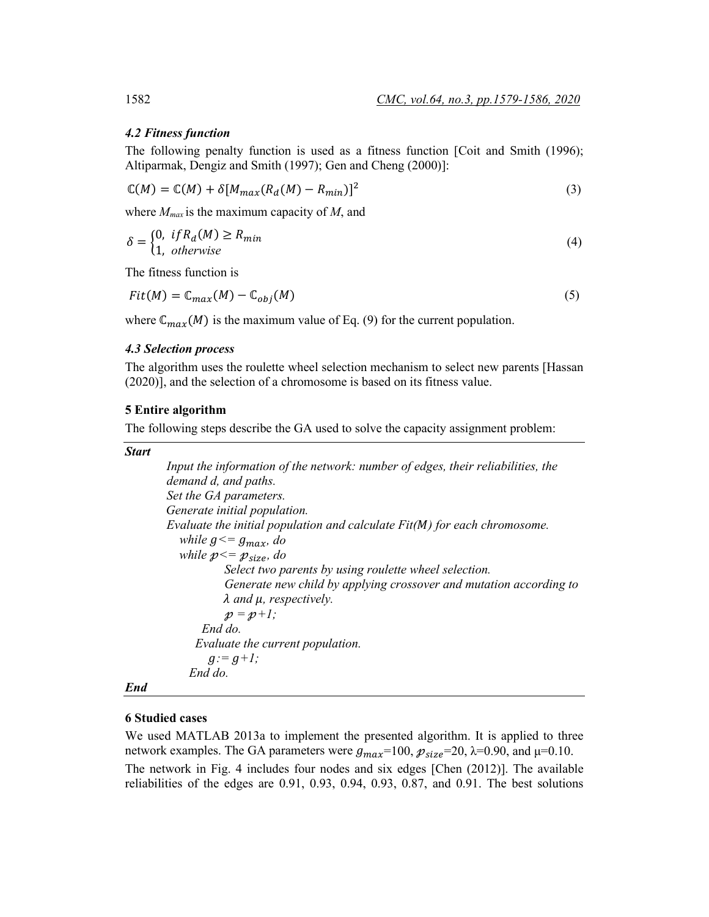### *4.2 Fitness function*

The following penalty function is used as a fitness function [Coit and Smith (1996); Altiparmak, Dengiz and Smith (1997); Gen and Cheng (2000)]:

$$
\mathbb{C}(M) = \mathbb{C}(M) + \delta [M_{max}(R_d(M) - R_{min})]^2
$$
\n(3)

where *Mmax* is the maximum capacity of *M*, and

$$
\delta = \begin{cases} 0, & if R_d(M) \ge R_{min} \\ 1, & otherwise \end{cases}
$$
 (4)

The fitness function is

$$
Fit(M) = \mathbb{C}_{max}(M) - \mathbb{C}_{obj}(M)
$$
 (5)

where  $\mathbb{C}_{max}(M)$  is the maximum value of Eq. (9) for the current population.

#### *4.3 Selection process*

The algorithm uses the roulette wheel selection mechanism to select new parents [Hassan (2020)], and the selection of a chromosome is based on its fitness value.

#### **5 Entire algorithm**

The following steps describe the GA used to solve the capacity assignment problem:

*Start*

```
Input the information of the network: number of edges, their reliabilities, the 
demand d, and paths.
Set the GA parameters.
Generate initial population.
Evaluate the initial population and calculate Fit() for each chromosome.
  while g \leq g_{max}, do
  while p \leq p_{size}, do
            Select two parents by using roulette wheel selection.
            Generate new child by applying crossover and mutation according to 
           λ and μ, respectively.
           p = p+1; End do.
      Evaluate the current population.
        q := q + l;
     End do.
```
# *End*

## **6 Studied cases**

We used MATLAB 2013a to implement the presented algorithm. It is applied to three network examples. The GA parameters were  $g_{max}$ =100,  $p_{size}$ =20,  $\lambda$ =0.90, and  $\mu$ =0.10. The network in Fig. 4 includes four nodes and six edges [Chen (2012)]. The available reliabilities of the edges are 0.91, 0.93, 0.94, 0.93, 0.87, and 0.91. The best solutions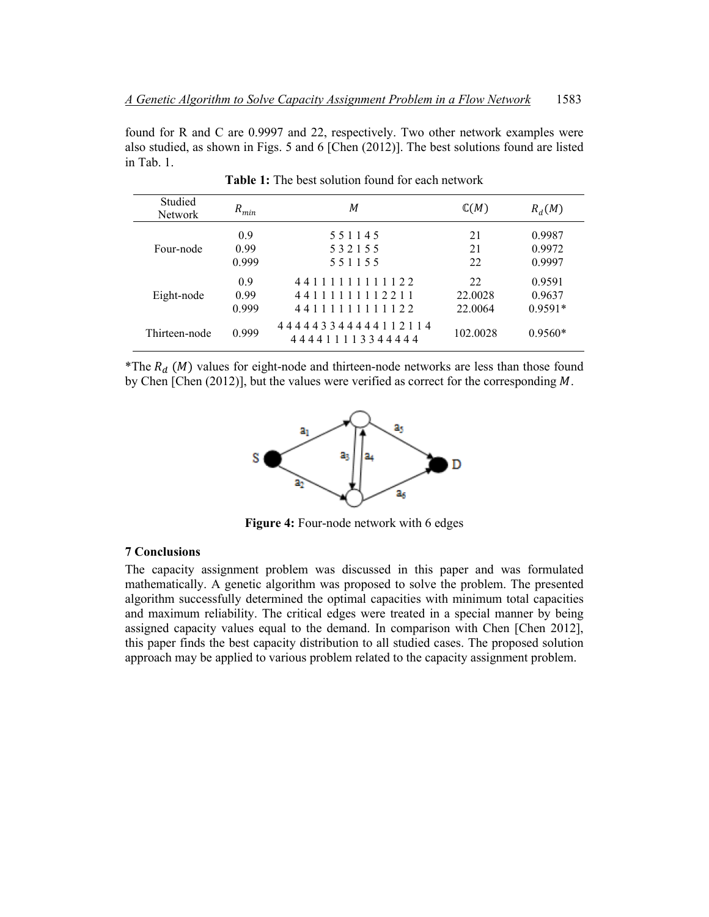found for R and C are 0.9997 and 22, respectively. Two other network examples were also studied, as shown in Figs. 5 and 6 [Chen (2012)]. The best solutions found are listed in Tab. 1.

| Studied<br><b>Network</b> | $R_{min}$            | М                                                  | $\mathbb{C}(M)$          | $R_d(M)$                      |
|---------------------------|----------------------|----------------------------------------------------|--------------------------|-------------------------------|
| Four-node                 | 0.9<br>0.99<br>0.999 | 551145<br>532155<br>551155                         | 21<br>21<br>22           | 0.9987<br>0.9972<br>0.9997    |
| Eight-node                | 0.9<br>0.99<br>0.999 | 44111111111122<br>44111111112211<br>44111111111122 | 22<br>22.0028<br>22,0064 | 0.9591<br>0.9637<br>$0.9591*$ |
| Thirteen-node             | 0.999                | 444443344444112114<br>444411113344444              | 102.0028                 | $0.9560*$                     |

**Table 1:** The best solution found for each network

\*The  $R_d$  (*M*) values for eight-node and thirteen-node networks are less than those found by Chen [Chen  $(2012)$ ], but the values were verified as correct for the corresponding M.



**Figure 4:** Four-node network with 6 edges

# **7 Conclusions**

The capacity assignment problem was discussed in this paper and was formulated mathematically. A genetic algorithm was proposed to solve the problem. The presented algorithm successfully determined the optimal capacities with minimum total capacities and maximum reliability. The critical edges were treated in a special manner by being assigned capacity values equal to the demand. In comparison with Chen [Chen 2012], this paper finds the best capacity distribution to all studied cases. The proposed solution approach may be applied to various problem related to the capacity assignment problem.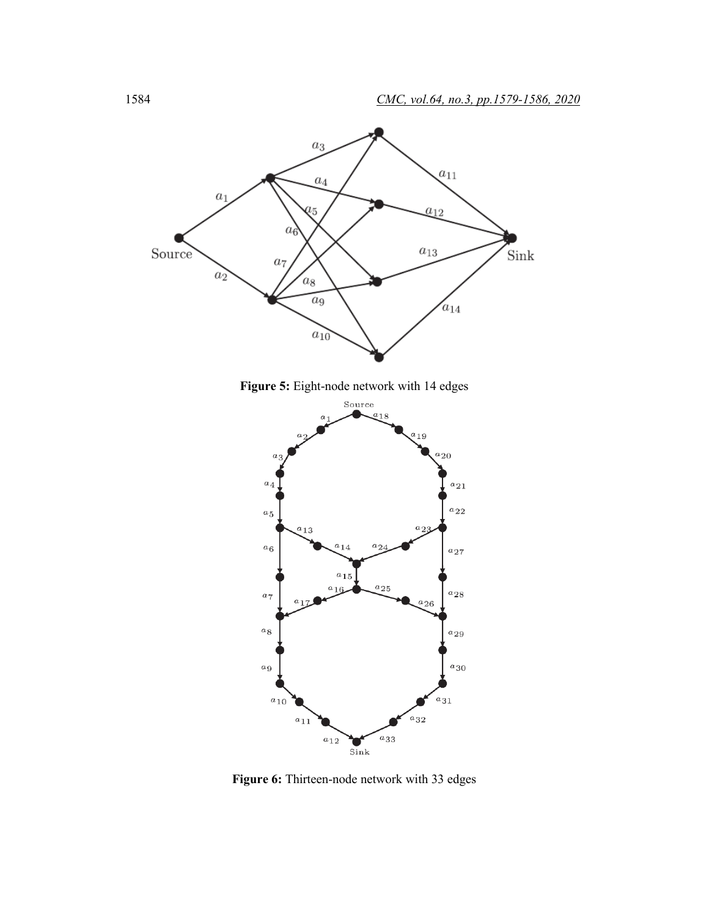

**Figure 5:** Eight-node network with 14 edges



**Figure 6:** Thirteen-node network with 33 edges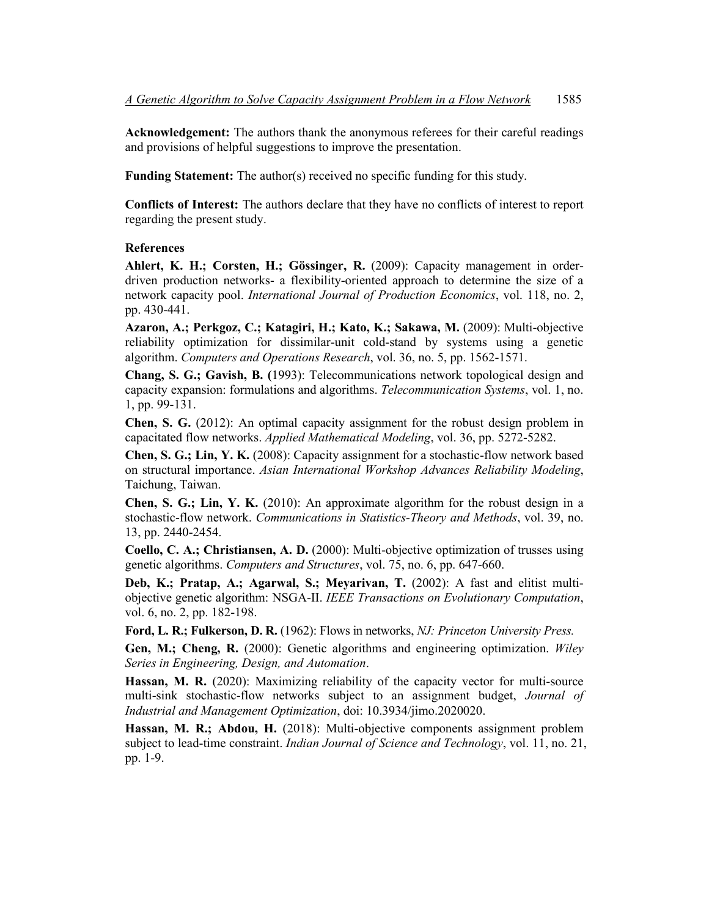**Acknowledgement:** The authors thank the anonymous referees for their careful readings and provisions of helpful suggestions to improve the presentation.

**Funding Statement:** The author(s) received no specific funding for this study.

**Conflicts of Interest:** The authors declare that they have no conflicts of interest to report regarding the present study.

## **References**

**Ahlert, K. H.; Corsten, H.; Gössinger, R.** (2009): Capacity management in orderdriven production networks- a flexibility-oriented approach to determine the size of a network capacity pool. *International Journal of Production Economics*, vol. 118, no. 2, pp. 430-441.

**Azaron, A.; Perkgoz, C.; Katagiri, H.; Kato, K.; Sakawa, M.** (2009): Multi-objective reliability optimization for dissimilar-unit cold-stand by systems using a genetic algorithm. *Computers and Operations Research*, vol. 36, no. 5, pp. 1562-1571.

**Chang, S. G.; Gavish, B. (**1993): Telecommunications network topological design and capacity expansion: formulations and algorithms. *Telecommunication Systems*, vol. 1, no. 1, pp. 99-131.

**Chen, S. G.** (2012): An optimal capacity assignment for the robust design problem in capacitated flow networks. *Applied Mathematical Modeling*, vol. 36, pp. 5272-5282.

**Chen, S. G.; Lin, Y. K.** (2008): Capacity assignment for a stochastic-flow network based on structural importance. *Asian International Workshop Advances Reliability Modeling*, Taichung, Taiwan.

**Chen, S. G.; Lin, Y. K.** (2010): An approximate algorithm for the robust design in a stochastic-flow network. *Communications in Statistics-Theory and Methods*, vol. 39, no. 13, pp. 2440-2454.

**Coello, C. A.; Christiansen, A. D.** (2000): Multi-objective optimization of trusses using genetic algorithms. *Computers and Structures*, vol. 75, no. 6, pp. 647-660.

**Deb, K.; Pratap, A.; Agarwal, S.; Meyarivan, T.** (2002): A fast and elitist multiobjective genetic algorithm: NSGA-II. *IEEE Transactions on Evolutionary Computation*, vol. 6, no. 2, pp. 182-198.

**Ford, L. R.; Fulkerson, D. R.** (1962): Flows in networks, *NJ: Princeton University Press.*

**Gen, M.; Cheng, R.** (2000): Genetic algorithms and engineering optimization. *Wiley Series in Engineering, Design, and Automation*.

**Hassan, M. R.** (2020): Maximizing reliability of the capacity vector for multi-source multi-sink stochastic-flow networks subject to an assignment budget, *Journal of Industrial and Management Optimization*, doi: 10.3934/jimo.2020020.

**Hassan, M. R.; Abdou, H.** (2018): Multi-objective components assignment problem subject to lead-time constraint. *Indian Journal of Science and Technology*, vol. 11, no. 21, pp. 1-9.